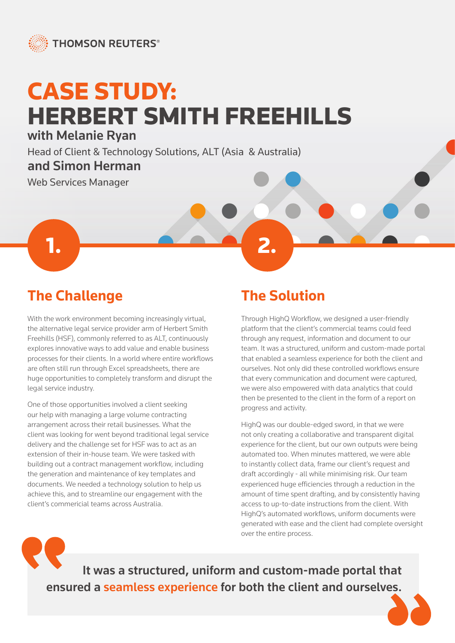

# CASE STUDY: HERBERT SMITH FREEHILLS

with Melanie Ryan

Head of Client & Technology Solutions, ALT (Asia & Australia)

1. **2. 2. 2. 2. 2. 2. 2. 2. 2. 2. 2. 2.** 

#### and Simon Herman

Web Services Manager

## **The Challenge**

With the work environment becoming increasingly virtual, the alternative legal service provider arm of Herbert Smith Freehills (HSF), commonly referred to as ALT, continuously explores innovative ways to add value and enable business processes for their clients. In a world where entire workflows are often still run through Excel spreadsheets, there are huge opportunities to completely transform and disrupt the legal service industry.

One of those opportunities involved a client seeking our help with managing a large volume contracting arrangement across their retail businesses. What the client was looking for went beyond traditional legal service delivery and the challenge set for HSF was to act as an extension of their in-house team. We were tasked with building out a contract management workflow, including the generation and maintenance of key templates and documents. We needed a technology solution to help us achieve this, and to streamline our engagement with the client's commericial teams across Australia.

# **The Solution**

Through HighQ Workflow, we designed a user-friendly platform that the client's commercial teams could feed through any request, information and document to our team. It was a structured, uniform and custom-made portal that enabled a seamless experience for both the client and ourselves. Not only did these controlled workflows ensure that every communication and document were captured, we were also empowered with data analytics that could then be presented to the client in the form of a report on progress and activity.

HighQ was our double-edged sword, in that we were not only creating a collaborative and transparent digital experience for the client, but our own outputs were being automated too. When minutes mattered, we were able to instantly collect data, frame our client's request and draft accordingly - all while minimising risk. Our team experienced huge efficiencies through a reduction in the amount of time spent drafting, and by consistently having access to up-to-date instructions from the client. With HighQ's automated workflows, uniform documents were generated with ease and the client had complete oversight over the entire process.

It was a structured, uniform and custom-made portal that ensured a seamless experience for both the client and ourselves.